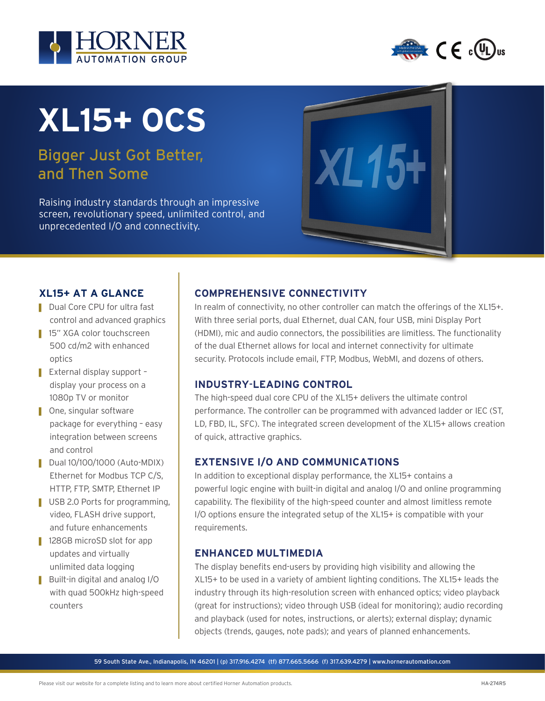



# **XL15+ OCS**

# Bigger Just Got Better, and Then Some

Raising industry standards through an impressive screen, revolutionary speed, unlimited control, and unprecedented I/O and connectivity.



## **XL15+ AT A GLANCE**

- Dual Core CPU for ultra fast control and advanced graphics
- 15" XGA color touchscreen 500 cd/m2 with enhanced optics
- External display support display your process on a 1080p TV or monitor
- One, singular software package for everything – easy integration between screens and control
- Dual 10/100/1000 (Auto-MDIX) Ethernet for Modbus TCP C/S, HTTP, FTP, SMTP, Ethernet IP
- USB 2.0 Ports for programming, video, FLASH drive support, and future enhancements
- 128GB microSD slot for app updates and virtually unlimited data logging
- Built-in digital and analog I/O with quad 500kHz high-speed counters

## **COMPREHENSIVE CONNECTIVITY**

In realm of connectivity, no other controller can match the offerings of the XL15+. With three serial ports, dual Ethernet, dual CAN, four USB, mini Display Port (HDMI), mic and audio connectors, the possibilities are limitless. The functionality of the dual Ethernet allows for local and internet connectivity for ultimate security. Protocols include email, FTP, Modbus, WebMI, and dozens of others.

#### **INDUSTRY**-**LEADING CONTROL**

The high-speed dual core CPU of the XL15+ delivers the ultimate control performance. The controller can be programmed with advanced ladder or IEC (ST, LD, FBD, IL, SFC). The integrated screen development of the XL15+ allows creation of quick, attractive graphics.

## **EXTENSIVE I/O AND COMMUNICATIONS**

In addition to exceptional display performance, the XL15+ contains a powerful logic engine with built-in digital and analog I/O and online programming capability. The flexibility of the high-speed counter and almost limitless remote I/O options ensure the integrated setup of the XL15+ is compatible with your requirements.

#### **ENHANCED MULTIMEDIA**

The display benefits end-users by providing high visibility and allowing the XL15+ to be used in a variety of ambient lighting conditions. The XL15+ leads the industry through its high-resolution screen with enhanced optics; video playback (great for instructions); video through USB (ideal for monitoring); audio recording and playback (used for notes, instructions, or alerts); external display; dynamic objects (trends, gauges, note pads); and years of planned enhancements.

59 South State Ave., Indianapolis, IN 46201 | (p) 317.916.4274 (tf) 877.665.5666 (f) 317.639.4279 | www.hornerautomation.com